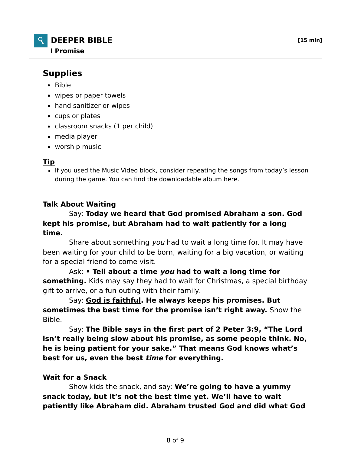## **DEEPER BIBLE [15 min] I Promise**

# **Supplies**

- $-Bible$
- wipes or paper towels
- hand sanitizer or wipes
- cups or plates
- classroom snacks (1 per child)
- media player
- worship music

## **Tip**

• If you used the Music Video block, consider repeating the songs from today's lesson during the game. You can find the downloadable album here.

## **Talk About Waiting**

### Say: **Today we heard that God promised Abraham a son. God kept his promise, but Abraham had to wait patiently for a long time.**

Share about something you had to wait a long time for. It may have been waiting for your child to be born, waiting for a big vacation, or waiting for a special friend to come visit.

 Ask: **• Tell about a time you had to wait a long time for something.** Kids may say they had to wait for Christmas, a special birthday gift to arrive, or a fun outing with their family.

 Say: **God is faithful. He always keeps his promises. But sometimes the best time for the promise isn't right away.** Show the Bible.

 Say: **The Bible says in the first part of 2 Peter 3:9, "The Lord isn't really being slow about his promise, as some people think. No, he is being patient for your sake." That means God knows what's best for us, even the best time for everything.**

### **Wait for a Snack**

 Show kids the snack, and say: **We're going to have a yummy snack today, but it's not the best time yet. We'll have to wait patiently like Abraham did. Abraham trusted God and did what God**